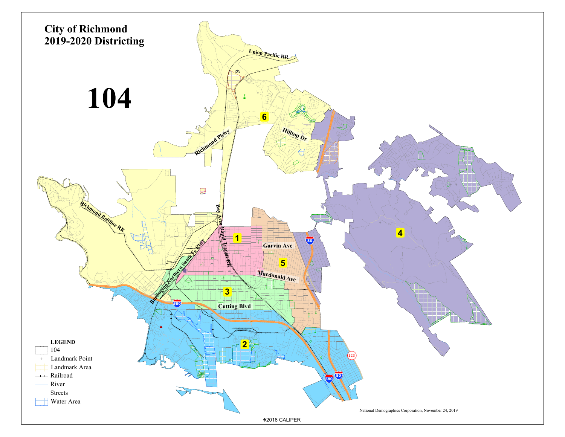